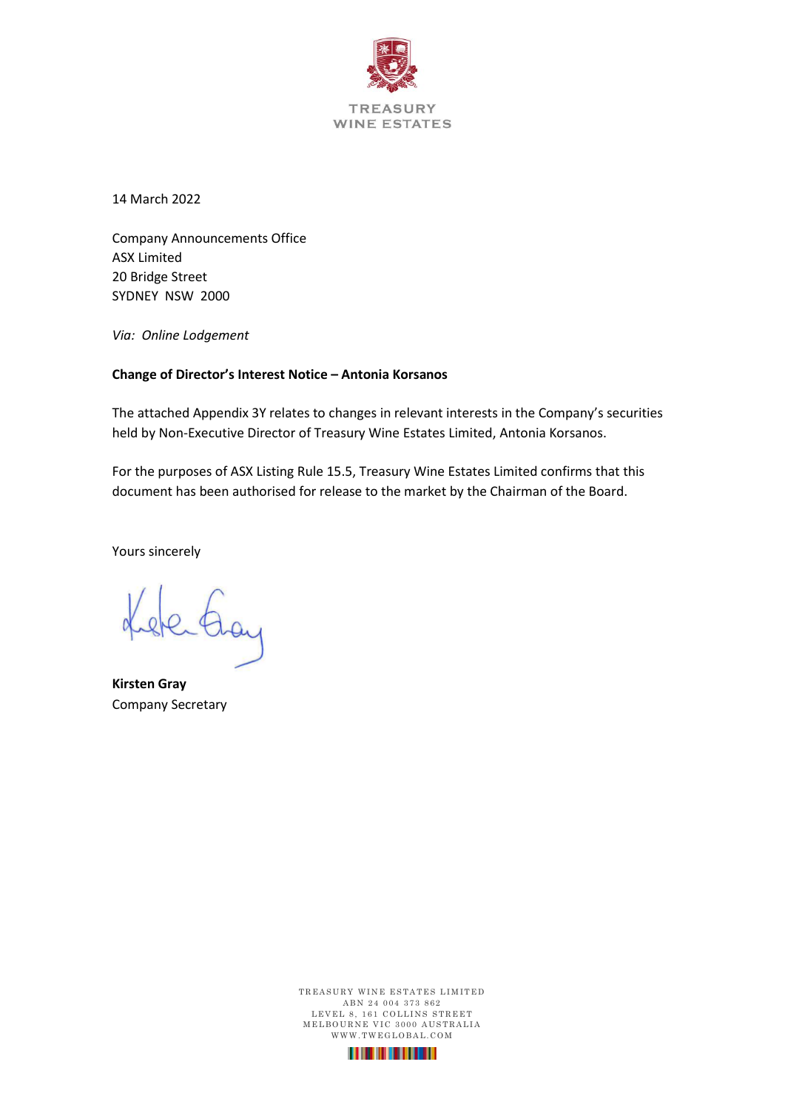

14 March 2022

Company Announcements Office ASX Limited 20 Bridge Street SYDNEY NSW 2000

*Via: Online Lodgement*

#### **Change of Director's Interest Notice – Antonia Korsanos**

The attached Appendix 3Y relates to changes in relevant interests in the Company's securities held by Non-Executive Director of Treasury Wine Estates Limited, Antonia Korsanos.

For the purposes of ASX Listing Rule 15.5, Treasury Wine Estates Limited confirms that this document has been authorised for release to the market by the Chairman of the Board.

Yours sincerely

sterting

**Kirsten Gray** Company Secretary

TREASURY WINE ESTATES LIMITED ABN 24 004 373 862 LEVEL 8, 161 COLLINS STREET M E L BOURNE VIC 3000 AUSTRALIA WWW.TWEGLOBAL.COM

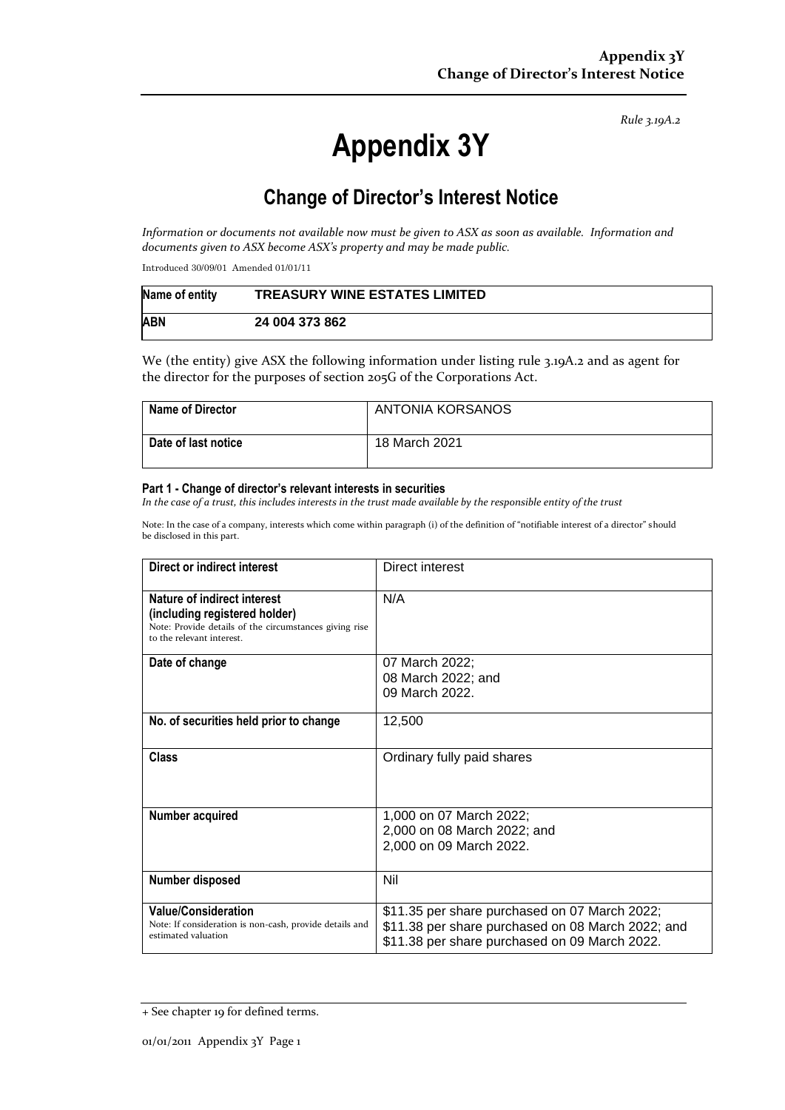*Rule 3.19A.2*

# **Appendix 3Y**

# **Change of Director's Interest Notice**

*Information or documents not available now must be given to ASX as soon as available. Information and documents given to ASX become ASX's property and may be made public.*

Introduced 30/09/01 Amended 01/01/11

| Name of entity | <b>TREASURY WINE ESTATES LIMITED</b> |
|----------------|--------------------------------------|
| <b>ABN</b>     | 24 004 373 862                       |

We (the entity) give ASX the following information under listing rule 3.19A.2 and as agent for the director for the purposes of section 205G of the Corporations Act.

| <b>Name of Director</b> | ANTONIA KORSANOS |
|-------------------------|------------------|
| Date of last notice     | 18 March 2021    |

#### **Part 1 - Change of director's relevant interests in securities**

*In the case of a trust, this includes interests in the trust made available by the responsible entity of the trust*

Note: In the case of a company, interests which come within paragraph (i) of the definition of "notifiable interest of a director" should be disclosed in this part.

| Direct or indirect interest                                                                                                                         | Direct interest                                                                                                                                     |  |
|-----------------------------------------------------------------------------------------------------------------------------------------------------|-----------------------------------------------------------------------------------------------------------------------------------------------------|--|
| Nature of indirect interest<br>(including registered holder)<br>Note: Provide details of the circumstances giving rise<br>to the relevant interest. | N/A                                                                                                                                                 |  |
| Date of change                                                                                                                                      | 07 March 2022;<br>08 March 2022; and<br>09 March 2022.                                                                                              |  |
| No. of securities held prior to change                                                                                                              | 12,500                                                                                                                                              |  |
| Class                                                                                                                                               | Ordinary fully paid shares                                                                                                                          |  |
| Number acquired                                                                                                                                     | 1,000 on 07 March 2022;<br>2,000 on 08 March 2022; and<br>2,000 on 09 March 2022.                                                                   |  |
| Number disposed                                                                                                                                     | Nil                                                                                                                                                 |  |
| <b>Value/Consideration</b><br>Note: If consideration is non-cash, provide details and<br>estimated valuation                                        | \$11.35 per share purchased on 07 March 2022;<br>\$11.38 per share purchased on 08 March 2022; and<br>\$11.38 per share purchased on 09 March 2022. |  |

<sup>+</sup> See chapter 19 for defined terms.